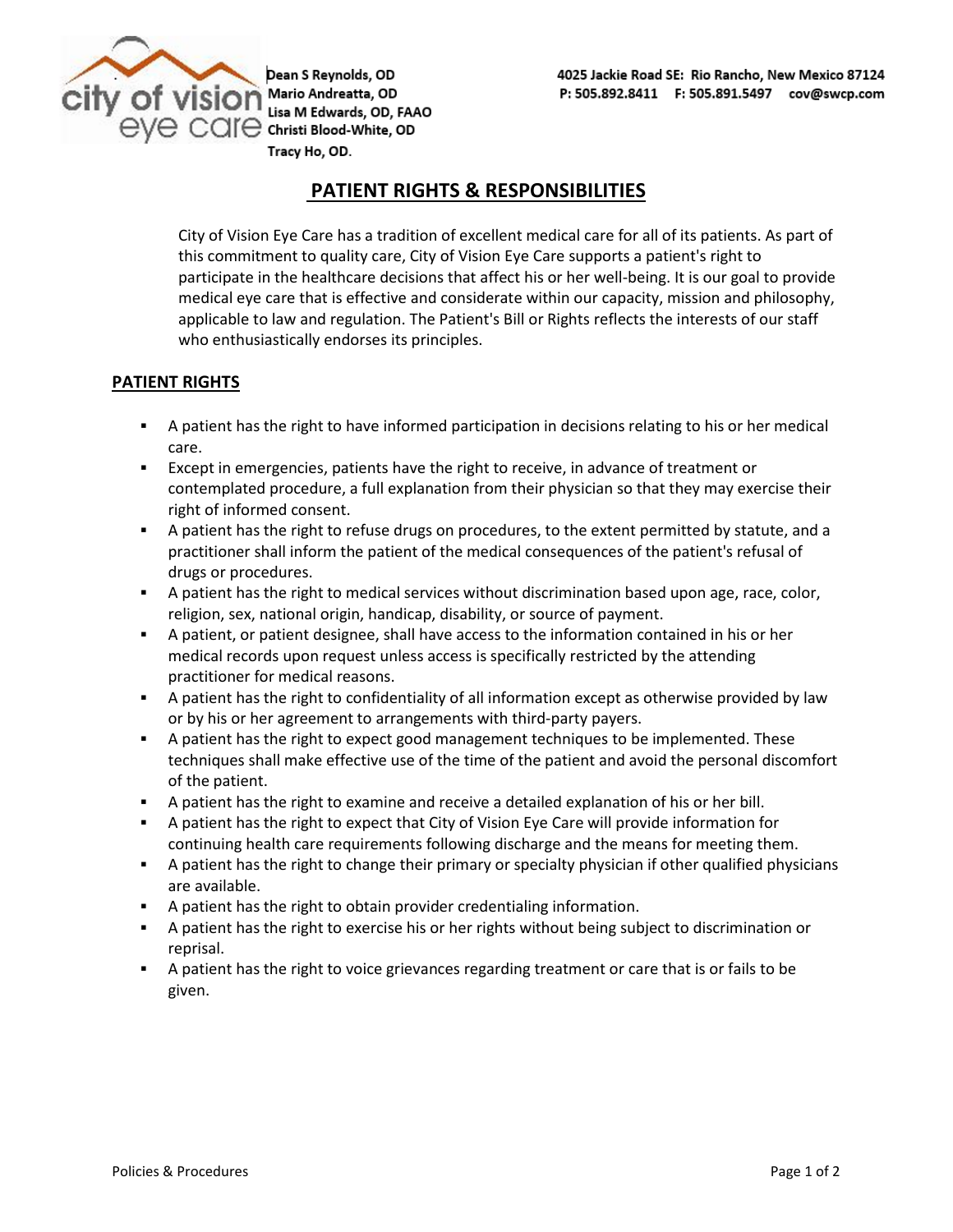

Dean S Reynolds, OD  $\text{eve}$   $\text{car}$   $\text{Cone}$   $\text{christi Blood-White, OD}$ Tracy Ho, OD.

## **PATIENT RIGHTS & RESPONSIBILITIES**

City of Vision Eye Care has a tradition of excellent medical care for all of its patients. As part of this commitment to quality care, City of Vision Eye Care supports a patient's right to participate in the healthcare decisions that affect his or her well-being. It is our goal to provide medical eye care that is effective and considerate within our capacity, mission and philosophy, applicable to law and regulation. The Patient's Bill or Rights reflects the interests of our staff who enthusiastically endorses its principles.

### **PATIENT RIGHTS**

- **•** A patient has the right to have informed participation in decisions relating to his or her medical care.
- **Except in emergencies, patients have the right to receive, in advance of treatment or** contemplated procedure, a full explanation from their physician so that they may exercise their right of informed consent.
- A patient has the right to refuse drugs on procedures, to the extent permitted by statute, and a practitioner shall inform the patient of the medical consequences of the patient's refusal of drugs or procedures.
- A patient has the right to medical services without discrimination based upon age, race, color, religion, sex, national origin, handicap, disability, or source of payment.
- A patient, or patient designee, shall have access to the information contained in his or her medical records upon request unless access is specifically restricted by the attending practitioner for medical reasons.
- **EXECT** A patient has the right to confidentiality of all information except as otherwise provided by law or by his or her agreement to arrangements with third-party payers.
- **•** A patient has the right to expect good management techniques to be implemented. These techniques shall make effective use of the time of the patient and avoid the personal discomfort of the patient.
- A patient has the right to examine and receive a detailed explanation of his or her bill.
- A patient has the right to expect that City of Vision Eye Care will provide information for continuing health care requirements following discharge and the means for meeting them.
- **•** A patient has the right to change their primary or specialty physician if other qualified physicians are available.
- A patient has the right to obtain provider credentialing information.
- **EXECT** A patient has the right to exercise his or her rights without being subject to discrimination or reprisal.
- A patient has the right to voice grievances regarding treatment or care that is or fails to be given.